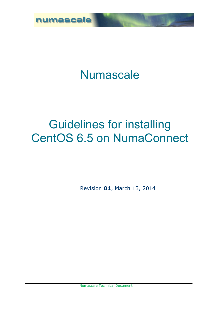

## **Numascale**

## Guidelines for installing CentOS 6.5 on NumaConnect

Revision **01**, March 13, 2014

Numascale Technical Document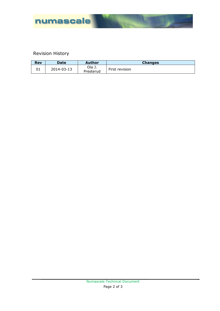

## Revision History

| <b>Rev</b> | <b>Date</b> | Author              | <b>Changes</b> |
|------------|-------------|---------------------|----------------|
| UÏ         | 2014-03-13  | Ola J.<br>Presterud | First revision |